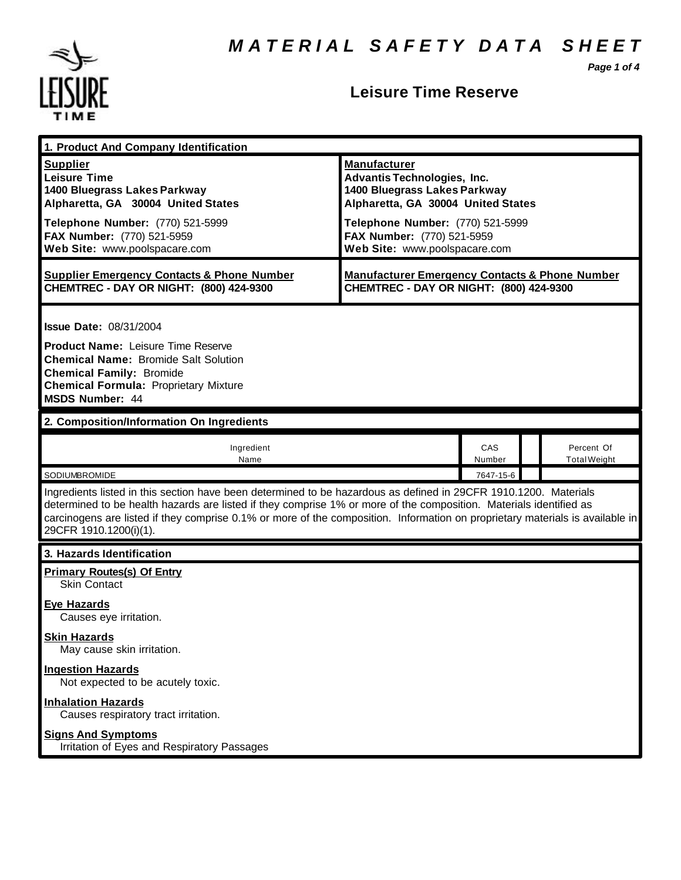*Page 1 of 4*



#### **Leisure Time Reserve**

| 1. Product And Company Identification                                                                                                                                                                                                                                                                                                                                                             |                                                                                                                                 |               |  |                                   |
|---------------------------------------------------------------------------------------------------------------------------------------------------------------------------------------------------------------------------------------------------------------------------------------------------------------------------------------------------------------------------------------------------|---------------------------------------------------------------------------------------------------------------------------------|---------------|--|-----------------------------------|
| <b>Supplier</b><br><b>Leisure Time</b><br>1400 Bluegrass Lakes Parkway<br>Alpharetta, GA 30004 United States                                                                                                                                                                                                                                                                                      | <b>Manufacturer</b><br><b>Advantis Technologies, Inc.</b><br>1400 Bluegrass Lakes Parkway<br>Alpharetta, GA 30004 United States |               |  |                                   |
| Telephone Number: (770) 521-5999<br>FAX Number: (770) 521-5959<br>Web Site: www.poolspacare.com                                                                                                                                                                                                                                                                                                   | Telephone Number: (770) 521-5999<br>FAX Number: (770) 521-5959<br>Web Site: www.poolspacare.com                                 |               |  |                                   |
| <b>Supplier Emergency Contacts &amp; Phone Number</b><br>CHEMTREC - DAY OR NIGHT: (800) 424-9300                                                                                                                                                                                                                                                                                                  | <b>Manufacturer Emergency Contacts &amp; Phone Number</b><br>CHEMTREC - DAY OR NIGHT: (800) 424-9300                            |               |  |                                   |
| <b>Issue Date: 08/31/2004</b><br><b>Product Name: Leisure Time Reserve</b><br><b>Chemical Name: Bromide Salt Solution</b>                                                                                                                                                                                                                                                                         |                                                                                                                                 |               |  |                                   |
| <b>Chemical Family: Bromide</b><br><b>Chemical Formula: Proprietary Mixture</b><br><b>MSDS Number: 44</b>                                                                                                                                                                                                                                                                                         |                                                                                                                                 |               |  |                                   |
| 2. Composition/Information On Ingredients                                                                                                                                                                                                                                                                                                                                                         |                                                                                                                                 |               |  |                                   |
| Ingredient<br>Name                                                                                                                                                                                                                                                                                                                                                                                |                                                                                                                                 | CAS<br>Number |  | Percent Of<br><b>Total Weight</b> |
| SODIUMBROMIDE                                                                                                                                                                                                                                                                                                                                                                                     |                                                                                                                                 | 7647-15-6     |  |                                   |
| Ingredients listed in this section have been determined to be hazardous as defined in 29CFR 1910.1200. Materials<br>determined to be health hazards are listed if they comprise 1% or more of the composition. Materials identified as<br>carcinogens are listed if they comprise 0.1% or more of the composition. Information on proprietary materials is available in<br>29CFR 1910.1200(i)(1). |                                                                                                                                 |               |  |                                   |
| 3. Hazards Identification                                                                                                                                                                                                                                                                                                                                                                         |                                                                                                                                 |               |  |                                   |
| <b>Primary Routes(s) Of Entry</b><br>Skin Contact                                                                                                                                                                                                                                                                                                                                                 |                                                                                                                                 |               |  |                                   |
| Eye Hazards<br>Causes eye irritation.                                                                                                                                                                                                                                                                                                                                                             |                                                                                                                                 |               |  |                                   |
| <b>Skin Hazards</b><br>May cause skin irritation.                                                                                                                                                                                                                                                                                                                                                 |                                                                                                                                 |               |  |                                   |
| <b>Ingestion Hazards</b><br>Not expected to be acutely toxic.                                                                                                                                                                                                                                                                                                                                     |                                                                                                                                 |               |  |                                   |
| <b>Inhalation Hazards</b><br>Causes respiratory tract irritation.                                                                                                                                                                                                                                                                                                                                 |                                                                                                                                 |               |  |                                   |
| <b>Signs And Symptoms</b><br>Irritation of Eyes and Respiratory Passages                                                                                                                                                                                                                                                                                                                          |                                                                                                                                 |               |  |                                   |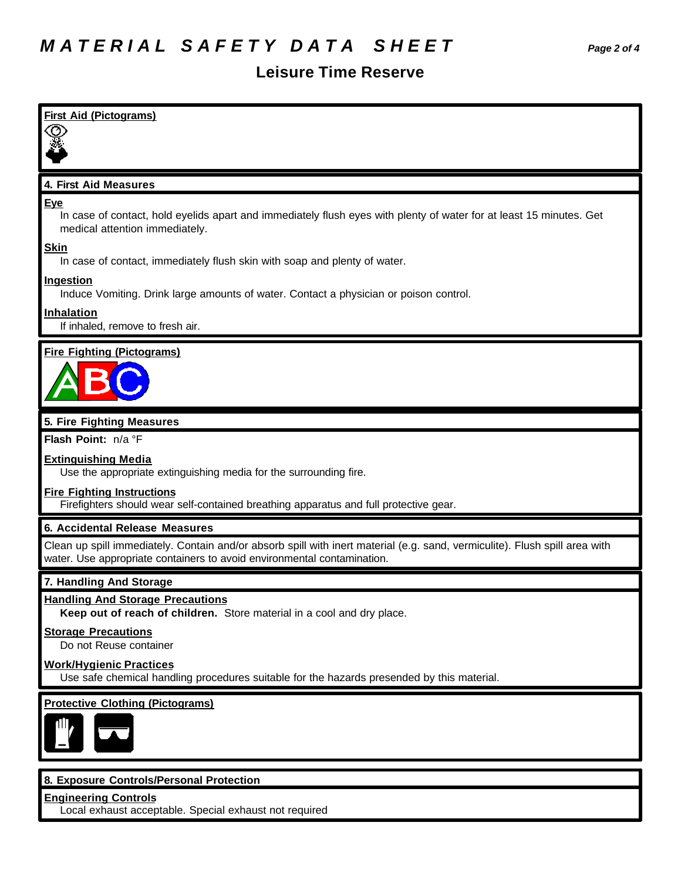### **Leisure Time Reserve**

| <b>First Aid (Pictograms)</b>                                                                                                                                       |
|---------------------------------------------------------------------------------------------------------------------------------------------------------------------|
|                                                                                                                                                                     |
|                                                                                                                                                                     |
| 4. First Aid Measures                                                                                                                                               |
|                                                                                                                                                                     |
| <b>Eye</b><br>In case of contact, hold eyelids apart and immediately flush eyes with plenty of water for at least 15 minutes. Get<br>medical attention immediately. |
| <b>Skin</b><br>In case of contact, immediately flush skin with soap and plenty of water.                                                                            |
| <b>Ingestion</b><br>Induce Vomiting. Drink large amounts of water. Contact a physician or poison control.                                                           |
| Inhalation                                                                                                                                                          |
| If inhaled, remove to fresh air.                                                                                                                                    |
| <b>Fire Fighting (Pictograms)</b>                                                                                                                                   |
|                                                                                                                                                                     |
|                                                                                                                                                                     |
|                                                                                                                                                                     |
| 5. Fire Fighting Measures<br>Flash Point: n/a °F                                                                                                                    |
|                                                                                                                                                                     |
| <b>Extinguishing Media</b><br>Use the appropriate extinguishing media for the surrounding fire.                                                                     |
| <b>Fire Fighting Instructions</b>                                                                                                                                   |
| Firefighters should wear self-contained breathing apparatus and full protective gear.                                                                               |
| 6. Accidental Release Measures                                                                                                                                      |
| Clean up spill immediately. Contain and/or absorb spill with inert material (e.g. sand, vermiculite). Flush spill area with                                         |
| water. Use appropriate containers to avoid environmental contamination.                                                                                             |
| 7. Handling And Storage                                                                                                                                             |
| <b>Handling And Storage Precautions</b><br>Keep out of reach of children. Store material in a cool and dry place.                                                   |
| <b>Storage Precautions</b><br>Do not Reuse container                                                                                                                |
| <b>Work/Hygienic Practices</b>                                                                                                                                      |
| Use safe chemical handling procedures suitable for the hazards presended by this material.                                                                          |
| <b>Protective Clothing (Pictograms)</b>                                                                                                                             |
|                                                                                                                                                                     |
|                                                                                                                                                                     |
|                                                                                                                                                                     |
| 8. Exposure Controls/Personal Protection                                                                                                                            |
| <b>Engineering Controls</b>                                                                                                                                         |

Local exhaust acceptable. Special exhaust not required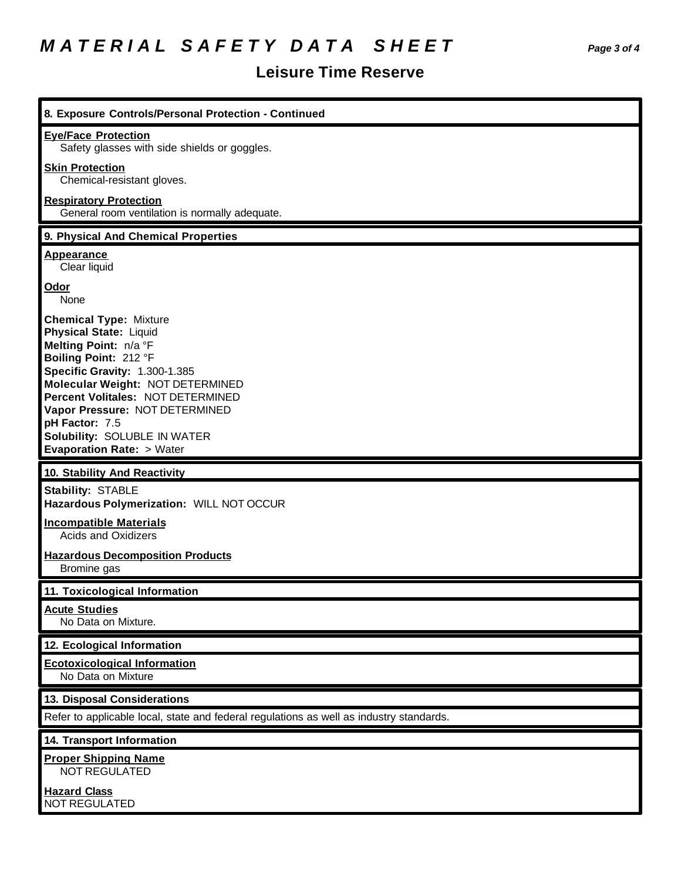# *M A T E R I A L S A F E T Y D A T A S H E E T Page 3 of 4*

## **Leisure Time Reserve**

| 8. Exposure Controls/Personal Protection - Continued                                                                                                                                                                                                                                                                                                  |
|-------------------------------------------------------------------------------------------------------------------------------------------------------------------------------------------------------------------------------------------------------------------------------------------------------------------------------------------------------|
| <b>Eye/Face Protection</b><br>Safety glasses with side shields or goggles.                                                                                                                                                                                                                                                                            |
| <b>Skin Protection</b><br>Chemical-resistant gloves.                                                                                                                                                                                                                                                                                                  |
| <b>Respiratory Protection</b><br>General room ventilation is normally adequate.                                                                                                                                                                                                                                                                       |
| 9. Physical And Chemical Properties                                                                                                                                                                                                                                                                                                                   |
| <b>Appearance</b><br>Clear liquid                                                                                                                                                                                                                                                                                                                     |
| <b>Odor</b><br>None                                                                                                                                                                                                                                                                                                                                   |
| <b>Chemical Type: Mixture</b><br><b>Physical State: Liquid</b><br>Melting Point: n/a °F<br>Boiling Point: 212 °F<br>Specific Gravity: 1.300-1.385<br>Molecular Weight: NOT DETERMINED<br>Percent Volitales: NOT DETERMINED<br>Vapor Pressure: NOT DETERMINED<br>pH Factor: 7.5<br>Solubility: SOLUBLE IN WATER<br><b>Evaporation Rate: &gt; Water</b> |
|                                                                                                                                                                                                                                                                                                                                                       |
| 10. Stability And Reactivity                                                                                                                                                                                                                                                                                                                          |
| <b>Stability: STABLE</b><br>Hazardous Polymerization: WILL NOT OCCUR                                                                                                                                                                                                                                                                                  |
| <b>Incompatible Materials</b><br><b>Acids and Oxidizers</b>                                                                                                                                                                                                                                                                                           |
| <b>Hazardous Decomposition Products</b><br>Bromine gas                                                                                                                                                                                                                                                                                                |
| 11. Toxicological Information                                                                                                                                                                                                                                                                                                                         |
| <b>Acute Studies</b><br>No Data on Mixture.                                                                                                                                                                                                                                                                                                           |
| 12. Ecological Information                                                                                                                                                                                                                                                                                                                            |
| <b>Ecotoxicological Information</b><br>No Data on Mixture                                                                                                                                                                                                                                                                                             |
| 13. Disposal Considerations                                                                                                                                                                                                                                                                                                                           |
| Refer to applicable local, state and federal regulations as well as industry standards.                                                                                                                                                                                                                                                               |
| 14. Transport Information                                                                                                                                                                                                                                                                                                                             |
| <b>Proper Shipping Name</b><br><b>NOT REGULATED</b>                                                                                                                                                                                                                                                                                                   |